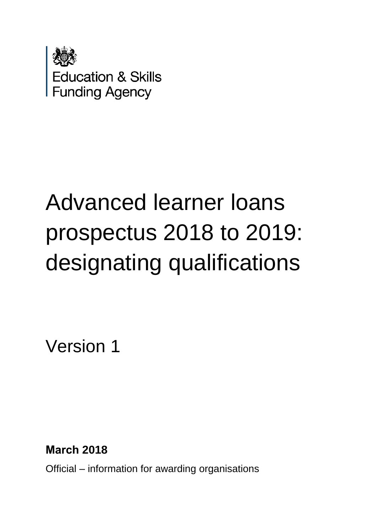

# Advanced learner loans prospectus 2018 to 2019: designating qualifications

Version 1

**March 2018** 

Official – information for awarding organisations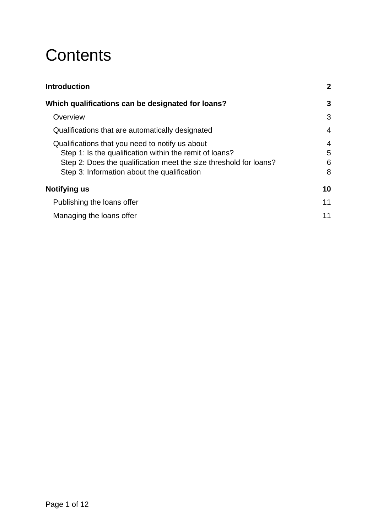# **Contents**

| <b>Introduction</b>                                               | $\mathbf{2}$   |
|-------------------------------------------------------------------|----------------|
| Which qualifications can be designated for loans?                 | 3              |
| Overview                                                          | 3              |
| Qualifications that are automatically designated                  | $\overline{4}$ |
| Qualifications that you need to notify us about                   | 4              |
| Step 1: Is the qualification within the remit of loans?           | 5              |
| Step 2: Does the qualification meet the size threshold for loans? | 6              |
| Step 3: Information about the qualification                       | 8              |
| Notifying us                                                      | 10             |
| Publishing the loans offer                                        | 11             |
| Managing the loans offer                                          | 11             |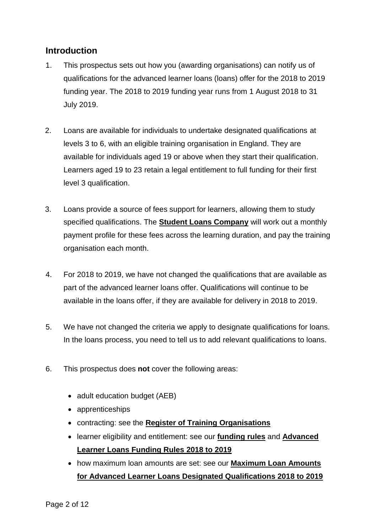# <span id="page-2-0"></span>**Introduction**

- 1. This prospectus sets out how you (awarding organisations) can notify us of qualifications for the advanced learner loans (loans) offer for the 2018 to 2019 funding year. The 2018 to 2019 funding year runs from 1 August 2018 to 31 July 2019.
- 2. Loans are available for individuals to undertake designated qualifications at levels 3 to 6, with an eligible training organisation in England. They are available for individuals aged 19 or above when they start their qualification. Learners aged 19 to 23 retain a legal entitlement to full funding for their first level 3 qualification.
- 3. Loans provide a source of fees support for learners, allowing them to study specified qualifications. The **[Student Loans Company](http://www.lpservices.slc.co.uk/)** will work out a monthly payment profile for these fees across the learning duration, and pay the training organisation each month.
- 4. For 2018 to 2019, we have not changed the qualifications that are available as part of the advanced learner loans offer. Qualifications will continue to be available in the loans offer, if they are available for delivery in 2018 to 2019.
- 5. We have not changed the criteria we apply to designate qualifications for loans. In the loans process, you need to tell us to add relevant qualifications to loans.
- 6. This prospectus does **not** cover the following areas:
	- adult education budget (AEB)
	- apprenticeships
	- contracting: see the **[Register of Training Organisations](http://skillsfundingagency.bis.gov.uk/providers/newproviders/)**
	- learner eligibility and entitlement: see our **[funding rules](https://www.gov.uk/government/publications/adult-education-budget-funding-rules-2018-to-2019)** and **[Advanced](https://www.gov.uk/government/publications/advanced-learner-loans-funding-rules-2018-to-2019)  [Learner Loans Funding Rules 2018](https://www.gov.uk/government/publications/advanced-learner-loans-funding-rules-2018-to-2019) to 2019**
	- how maximum loan amounts are set: see our **[Maximum Loan Amounts](https://www.gov.uk/government/publications/maximum-loan-amounts-for-advanced-learner-loans-designated-qualifications-2018-to-2019)  [for Advanced Learner Loans Designated Qualifications 2018](https://www.gov.uk/government/publications/maximum-loan-amounts-for-advanced-learner-loans-designated-qualifications-2018-to-2019) to 2019**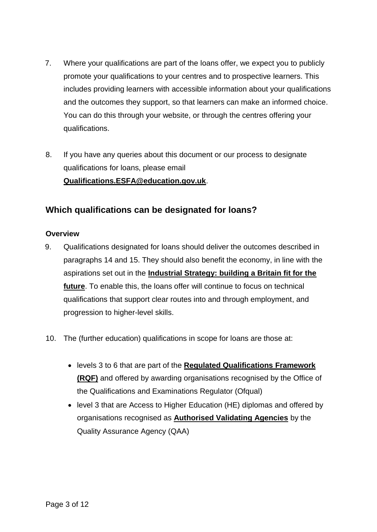- 7. Where your qualifications are part of the loans offer, we expect you to publicly promote your qualifications to your centres and to prospective learners. This includes providing learners with accessible information about your qualifications and the outcomes they support, so that learners can make an informed choice. You can do this through your website, or through the centres offering your qualifications.
- 8. If you have any queries about this document or our process to designate qualifications for loans, please email **Qualifications.ESFA@education.gov.uk**.

# <span id="page-3-0"></span>**Which qualifications can be designated for loans?**

#### <span id="page-3-1"></span>**Overview**

- 9. Qualifications designated for loans should deliver the outcomes described in paragraphs [14](#page-4-2) and [15.](#page-4-3) They should also benefit the economy, in line with the aspirations set out in the **[Industrial Strategy: building a Britain fit for the](https://www.gov.uk/government/publications/industrial-strategy-building-a-britain-fit-for-the-future)  [future](https://www.gov.uk/government/publications/industrial-strategy-building-a-britain-fit-for-the-future)**. To enable this, the loans offer will continue to focus on technical qualifications that support clear routes into and through employment, and progression to higher-level skills.
- 10. The (further education) qualifications in scope for loans are those at:
	- levels 3 to 6 that are part of the **[Regulated Qualifications Framework](https://ofqual.blog.gov.uk/2015/10/01/explaining-the-rqf/)  [\(RQF\)](https://ofqual.blog.gov.uk/2015/10/01/explaining-the-rqf/)** and offered by awarding organisations recognised by the Office of the Qualifications and Examinations Regulator (Ofqual)
	- level 3 that are Access to Higher Education (HE) diplomas and offered by organisations recognised as **[Authorised Validating Agencies](https://www.accesstohe.ac.uk/HowCourses/AVA-profiles/Pages/Default.aspx)** by the Quality Assurance Agency (QAA)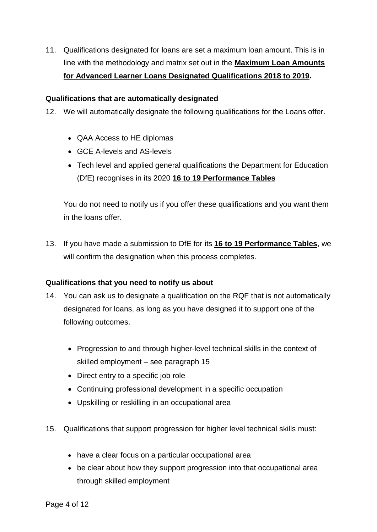11. Qualifications designated for loans are set a maximum loan amount. This is in line with the methodology and matrix set out in the **[Maximum Loan Amounts](https://www.gov.uk/government/publications/maximum-loan-amounts-for-advanced-learner-loans-designated-qualifications-2018-to-2019)  [for Advanced Learner Loans Designated Qualifications 2018](https://www.gov.uk/government/publications/maximum-loan-amounts-for-advanced-learner-loans-designated-qualifications-2018-to-2019) to 2019.**

#### <span id="page-4-0"></span>**Qualifications that are automatically designated**

12. We will automatically designate the following qualifications for the Loans offer.

- QAA Access to HE diplomas
- GCE A-levels and AS-levels
- Tech level and applied general qualifications the Department for Education (DfE) recognises in its 2020 **[16 to 19 Performance Tables](https://www.gov.uk/government/collections/performance-tables-technical-and-vocational-qualifications)**

You do not need to notify us if you offer these qualifications and you want them in the loans offer.

13. If you have made a submission to DfE for its **[16 to 19 Performance Tables](https://www.gov.uk/government/collections/performance-tables-technical-and-vocational-qualifications)**, we will confirm the designation when this process completes.

#### <span id="page-4-1"></span>**Qualifications that you need to notify us about**

- <span id="page-4-2"></span>14. You can ask us to designate a qualification on the RQF that is not automatically designated for loans, as long as you have designed it to support one of the following outcomes.
	- Progression to and through higher-level technical skills in the context of skilled employment – see paragraph [15](#page-4-3)
	- Direct entry to a specific job role
	- Continuing professional development in a specific occupation
	- Upskilling or reskilling in an occupational area
- <span id="page-4-3"></span>15. Qualifications that support progression for higher level technical skills must:
	- have a clear focus on a particular occupational area
	- be clear about how they support progression into that occupational area through skilled employment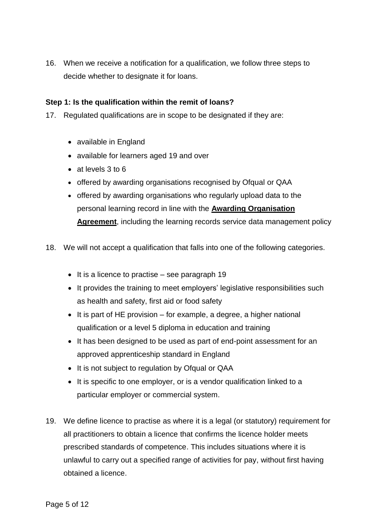16. When we receive a notification for a qualification, we follow three steps to decide whether to designate it for loans.

#### <span id="page-5-0"></span>**Step 1: Is the qualification within the remit of loans?**

- 17. Regulated qualifications are in scope to be designated if they are:
	- available in England
	- available for learners aged 19 and over
	- at levels 3 to 6
	- offered by awarding organisations recognised by Ofqual or QAA
	- offered by awarding organisations who regularly upload data to the personal learning record in line with the **[Awarding Organisation](https://www.gov.uk/government/publications/learning-records-service-awarding-organisations)  [Agreement](https://www.gov.uk/government/publications/learning-records-service-awarding-organisations)**, including the learning records service data management policy
- 18. We will not accept a qualification that falls into one of the following categories.
	- $\bullet$  It is a licence to practise see paragraph [19](#page-5-1)
	- It provides the training to meet employers' legislative responsibilities such as health and safety, first aid or food safety
	- $\bullet$  It is part of [HE provision](http://www.hefce.ac.uk/workprovide/hefe/fund/) for example, a degree, a higher national qualification or a level 5 diploma in education and training
	- It has been designed to be used as part of end-point assessment for an approved apprenticeship standard in England
	- It is not subject to regulation by Ofqual or QAA
	- It is specific to one employer, or is a vendor qualification linked to a particular employer or commercial system.
- <span id="page-5-1"></span>19. We define licence to practise as where it is a legal (or statutory) requirement for all practitioners to obtain a licence that confirms the licence holder meets prescribed standards of competence. This includes situations where it is unlawful to carry out a specified range of activities for pay, without first having obtained a licence.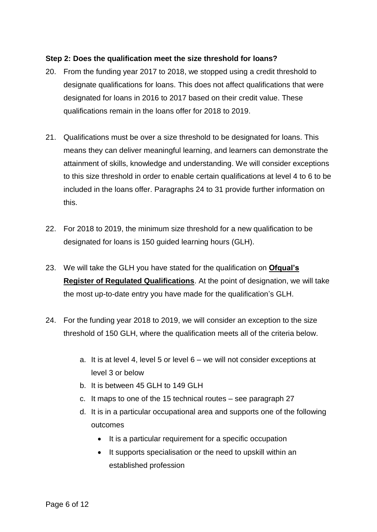#### <span id="page-6-0"></span>**Step 2: Does the qualification meet the size threshold for loans?**

- 20. From the funding year 2017 to 2018, we stopped using a credit threshold to designate qualifications for loans. This does not affect qualifications that were designated for loans in 2016 to 2017 based on their credit value. These qualifications remain in the loans offer for 2018 to 2019.
- 21. Qualifications must be over a size threshold to be designated for loans. This means they can deliver meaningful learning, and learners can demonstrate the attainment of skills, knowledge and understanding. We will consider exceptions to this size threshold in order to enable certain qualifications at level 4 to 6 to be included in the loans offer. Paragraphs [24](#page-6-1) to [31](#page-8-1) provide further information on this.
- 22. For 2018 to 2019, the minimum size threshold for a new qualification to be designated for loans is 150 guided learning hours (GLH).
- 23. We will take the GLH you have stated for the qualification on **[Ofqual's](http://register.ofqual.gov.uk/)  [Register of Regulated Qualifications](http://register.ofqual.gov.uk/)**. At the point of designation, we will take the most up-to-date entry you have made for the qualification's GLH.
- <span id="page-6-1"></span>24. For the funding year 2018 to 2019, we will consider an exception to the size threshold of 150 GLH, where the qualification meets all of the criteria below.
	- a. It is at level 4, level 5 or level 6 we will not consider exceptions at level 3 or below
	- b. It is between 45 GLH to 149 GLH
	- c. It maps to one of the 15 technical routes see paragraph [27](#page-7-0)
	- d. It is in a particular occupational area and supports one of the following outcomes
		- It is a particular requirement for a specific occupation
		- It supports specialisation or the need to upskill within an established profession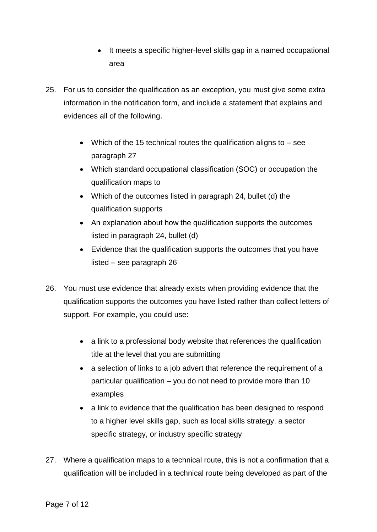- It meets a specific higher-level skills gap in a named occupational area
- <span id="page-7-2"></span>25. For us to consider the qualification as an exception, you must give some extra information in the notification form, and include a statement that explains and evidences all of the following.
	- Which of the 15 technical routes the qualification aligns to  $-$  see paragraph [27](#page-7-0)
	- Which standard occupational classification (SOC) or occupation the qualification maps to
	- Which of the outcomes listed in paragraph [24,](#page-6-1) bullet (d) the qualification supports
	- An explanation about how the qualification supports the outcomes listed in paragraph [24,](#page-6-1) bullet (d)
	- Evidence that the qualification supports the outcomes that you have listed – see paragraph [26](#page-7-1)
- <span id="page-7-1"></span>26. You must use evidence that already exists when providing evidence that the qualification supports the outcomes you have listed rather than collect letters of support. For example, you could use:
	- a link to a professional body website that references the qualification title at the level that you are submitting
	- a selection of links to a job advert that reference the requirement of a particular qualification – you do not need to provide more than 10 examples
	- a link to evidence that the qualification has been designed to respond to a higher level skills gap, such as local skills strategy, a sector specific strategy, or industry specific strategy
- <span id="page-7-0"></span>27. Where a qualification maps to a technical route, this is not a confirmation that a qualification will be included in a technical route being developed as part of the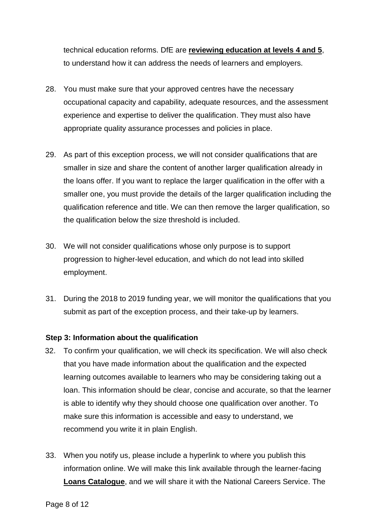technical education reforms. DfE are **[reviewing education at levels 4 and 5](https://www.gov.uk/government/news/level-4-5-technical-education-to-be-reviewed)**, to understand how it can address the needs of learners and employers.

- 28. You must make sure that your approved centres have the necessary occupational capacity and capability, adequate resources, and the assessment experience and expertise to deliver the qualification. They must also have appropriate quality assurance processes and policies in place.
- 29. As part of this exception process, we will not consider qualifications that are smaller in size and share the content of another larger qualification already in the loans offer. If you want to replace the larger qualification in the offer with a smaller one, you must provide the details of the larger qualification including the qualification reference and title. We can then remove the larger qualification, so the qualification below the size threshold is included.
- 30. We will not consider qualifications whose only purpose is to support progression to higher-level education, and which do not lead into skilled employment.
- <span id="page-8-1"></span>31. During the 2018 to 2019 funding year, we will monitor the qualifications that you submit as part of the exception process, and their take-up by learners.

#### <span id="page-8-0"></span>**Step 3: Information about the qualification**

- 32. To confirm your qualification, we will check its specification. We will also check that you have made information about the qualification and the expected learning outcomes available to learners who may be considering taking out a loan. This information should be clear, concise and accurate, so that the learner is able to identify why they should choose one qualification over another. To make sure this information is accessible and easy to understand, we recommend you write it in plain English.
- 33. When you notify us, please include a hyperlink to where you publish this information online. We will make this link available through the learner-facing **[Loans Catalogue](https://www.gov.uk/government/publications/advanced-learner-loans-qualifications-catalogue)**, and we will share it with the National Careers Service. The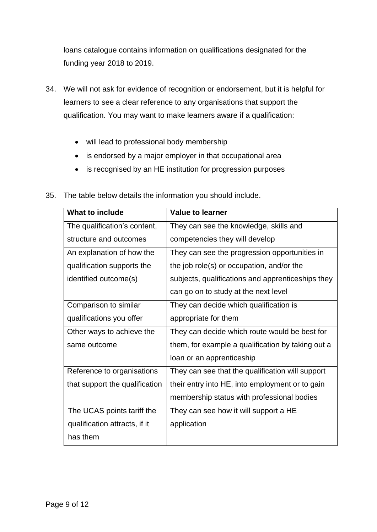loans catalogue contains information on qualifications designated for the funding year 2018 to 2019.

- 34. We will not ask for evidence of recognition or endorsement, but it is helpful for learners to see a clear reference to any organisations that support the qualification. You may want to make learners aware if a qualification:
	- will lead to professional body membership
	- is endorsed by a major employer in that occupational area
	- is recognised by an HE institution for progression purposes

| <b>What to include</b>         | <b>Value to learner</b>                           |
|--------------------------------|---------------------------------------------------|
| The qualification's content,   | They can see the knowledge, skills and            |
| structure and outcomes         | competencies they will develop                    |
| An explanation of how the      | They can see the progression opportunities in     |
| qualification supports the     | the job role(s) or occupation, and/or the         |
| identified outcome(s)          | subjects, qualifications and apprenticeships they |
|                                | can go on to study at the next level              |
| Comparison to similar          | They can decide which qualification is            |
| qualifications you offer       | appropriate for them                              |
| Other ways to achieve the      | They can decide which route would be best for     |
| same outcome                   | them, for example a qualification by taking out a |
|                                | loan or an apprenticeship                         |
| Reference to organisations     | They can see that the qualification will support  |
| that support the qualification | their entry into HE, into employment or to gain   |
|                                | membership status with professional bodies        |
| The UCAS points tariff the     | They can see how it will support a HE             |
| qualification attracts, if it  | application                                       |
| has them                       |                                                   |

35. The table below details the information you should include.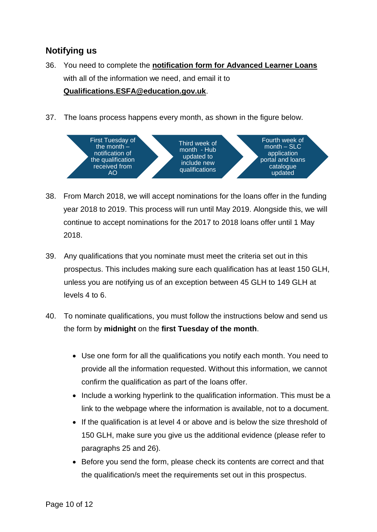# <span id="page-10-0"></span>**Notifying us**

- 36. You need to complete the **[notification form for Advanced Learner Loans](https://www.gov.uk/government/publications/designating-qualifications-for-advanced-learner-loans)** with all of the information we need, and email it to **Qualifications.ESFA@education.gov.uk**.
- 37. The loans process happens every month, as shown in the figure below.



- 38. From March 2018, we will accept nominations for the loans offer in the funding year 2018 to 2019. This process will run until May 2019. Alongside this, we will continue to accept nominations for the 2017 to 2018 loans offer until 1 May 2018.
- 39. Any qualifications that you nominate must meet the criteria set out in this prospectus. This includes making sure each qualification has at least 150 GLH, unless you are notifying us of an exception between 45 GLH to 149 GLH at levels 4 to 6.
- 40. To nominate qualifications, you must follow the instructions below and send us the form by **midnight** on the **first Tuesday of the month**.
	- Use one form for all the qualifications you notify each month. You need to provide all the information requested. Without this information, we cannot confirm the qualification as part of the loans offer.
	- Include a working hyperlink to the qualification information. This must be a link to the webpage where the information is available, not to a document.
	- If the qualification is at level 4 or above and is below the size threshold of 150 GLH, make sure you give us the additional evidence (please refer to paragraphs [25](#page-7-2) and [26\)](#page-7-1).
	- Before you send the form, please check its contents are correct and that the qualification/s meet the requirements set out in this prospectus.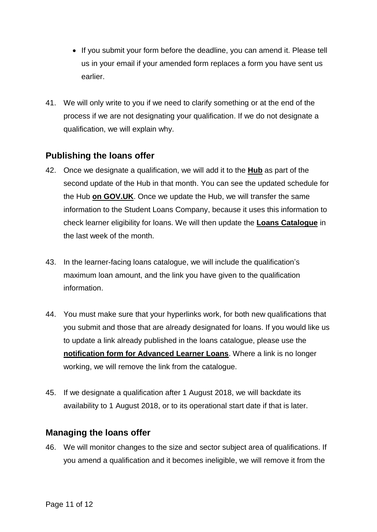- If you submit your form before the deadline, you can amend it. Please tell us in your email if your amended form replaces a form you have sent us earlier.
- 41. We will only write to you if we need to clarify something or at the end of the process if we are not designating your qualification. If we do not designate a qualification, we will explain why.

# <span id="page-11-0"></span>**Publishing the loans offer**

- 42. Once we designate a qualification, we will add it to the **[Hub](https://des.imservices.org.uk/Pages/default.aspx)** as part of the second update of the Hub in that month. You can see the updated schedule for the Hub **[on GOV.UK](https://www.gov.uk/government/publications/data-collection-maintenance-schedule-for-2014-to-2015)**. Once we update the Hub, we will transfer the same information to the Student Loans Company, because it uses this information to check learner eligibility for loans. We will then update the **[Loans Catalogue](https://www.gov.uk/government/publications/advanced-learner-loans-qualifications-catalogue)** in the last week of the month.
- 43. In the learner-facing loans catalogue, we will include the qualification's maximum loan amount, and the link you have given to the qualification information.
- 44. You must make sure that your hyperlinks work, for both new qualifications that you submit and those that are already designated for loans. If you would like us to update a link already published in the loans catalogue, please use the **[notification form for Advanced Learner Loans](https://www.gov.uk/government/publications/designating-qualifications-for-advanced-learner-loans)**. Where a link is no longer working, we will remove the link from the catalogue.
- 45. If we designate a qualification after 1 August 2018, we will backdate its availability to 1 August 2018, or to its operational start date if that is later.

### <span id="page-11-1"></span>**Managing the loans offer**

46. We will monitor changes to the size and sector subject area of qualifications. If you amend a qualification and it becomes ineligible, we will remove it from the